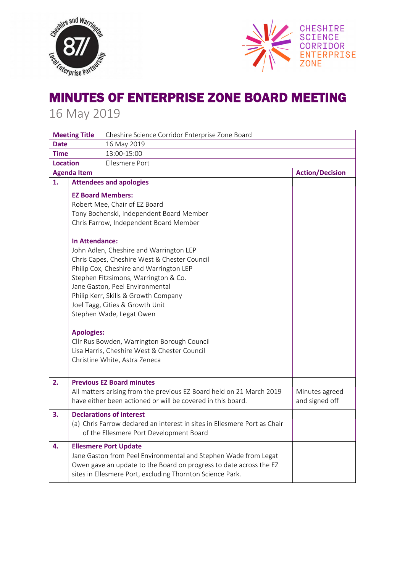



## MINUTES OF ENTERPRISE ZONE BOARD MEETING

16 May 2019

| <b>Meeting Title</b> |                                              | Cheshire Science Corridor Enterprise Zone Board                                                          |                        |  |
|----------------------|----------------------------------------------|----------------------------------------------------------------------------------------------------------|------------------------|--|
| <b>Date</b>          |                                              | 16 May 2019                                                                                              |                        |  |
| Time                 |                                              | 13:00-15:00                                                                                              |                        |  |
| <b>Location</b>      |                                              | Ellesmere Port                                                                                           |                        |  |
| <b>Agenda Item</b>   |                                              |                                                                                                          | <b>Action/Decision</b> |  |
| 1.                   | <b>Attendees and apologies</b>               |                                                                                                          |                        |  |
|                      | <b>EZ Board Members:</b>                     |                                                                                                          |                        |  |
|                      | Robert Mee, Chair of EZ Board                |                                                                                                          |                        |  |
|                      | Tony Bochenski, Independent Board Member     |                                                                                                          |                        |  |
|                      |                                              | Chris Farrow, Independent Board Member                                                                   |                        |  |
|                      |                                              |                                                                                                          |                        |  |
|                      | In Attendance:                               |                                                                                                          |                        |  |
|                      | John Adlen, Cheshire and Warrington LEP      |                                                                                                          |                        |  |
|                      | Chris Capes, Cheshire West & Chester Council |                                                                                                          |                        |  |
|                      | Philip Cox, Cheshire and Warrington LEP      |                                                                                                          |                        |  |
|                      | Stephen Fitzsimons, Warrington & Co.         |                                                                                                          |                        |  |
|                      | Jane Gaston, Peel Environmental              |                                                                                                          |                        |  |
|                      | Philip Kerr, Skills & Growth Company         |                                                                                                          |                        |  |
|                      | Joel Tagg, Cities & Growth Unit              |                                                                                                          |                        |  |
|                      | Stephen Wade, Legat Owen                     |                                                                                                          |                        |  |
|                      |                                              |                                                                                                          |                        |  |
| <b>Apologies:</b>    |                                              | Cllr Rus Bowden, Warrington Borough Council                                                              |                        |  |
|                      |                                              | Lisa Harris, Cheshire West & Chester Council                                                             |                        |  |
|                      |                                              | Christine White, Astra Zeneca                                                                            |                        |  |
|                      |                                              |                                                                                                          |                        |  |
|                      |                                              |                                                                                                          |                        |  |
| 2.                   |                                              | <b>Previous EZ Board minutes</b><br>All matters arising from the previous EZ Board held on 21 March 2019 | Minutes agreed         |  |
|                      |                                              | have either been actioned or will be covered in this board.                                              | and signed off         |  |
|                      |                                              |                                                                                                          |                        |  |
| 3.                   |                                              | <b>Declarations of interest</b>                                                                          |                        |  |
|                      |                                              | (a) Chris Farrow declared an interest in sites in Ellesmere Port as Chair                                |                        |  |
|                      |                                              | of the Ellesmere Port Development Board                                                                  |                        |  |
| 4.                   |                                              | <b>Ellesmere Port Update</b>                                                                             |                        |  |
|                      |                                              | Jane Gaston from Peel Environmental and Stephen Wade from Legat                                          |                        |  |
|                      |                                              | Owen gave an update to the Board on progress to date across the EZ                                       |                        |  |
|                      |                                              | sites in Ellesmere Port, excluding Thornton Science Park.                                                |                        |  |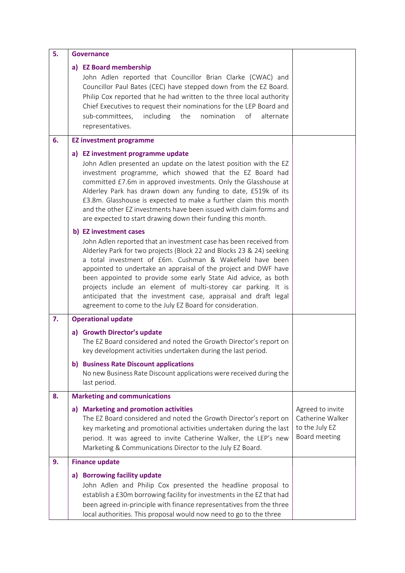| 5. | <b>Governance</b>                                                                                                                                                                                                                                                                                                                                                                                                                                                                                                                                                       |                                                                         |  |
|----|-------------------------------------------------------------------------------------------------------------------------------------------------------------------------------------------------------------------------------------------------------------------------------------------------------------------------------------------------------------------------------------------------------------------------------------------------------------------------------------------------------------------------------------------------------------------------|-------------------------------------------------------------------------|--|
|    | a) EZ Board membership<br>John Adlen reported that Councillor Brian Clarke (CWAC) and<br>Councillor Paul Bates (CEC) have stepped down from the EZ Board.<br>Philip Cox reported that he had written to the three local authority<br>Chief Executives to request their nominations for the LEP Board and<br>including<br>the<br>of<br>sub-committees,<br>nomination<br>alternate<br>representatives.                                                                                                                                                                    |                                                                         |  |
| 6. | <b>EZ investment programme</b>                                                                                                                                                                                                                                                                                                                                                                                                                                                                                                                                          |                                                                         |  |
|    | a) EZ investment programme update<br>John Adlen presented an update on the latest position with the EZ<br>investment programme, which showed that the EZ Board had<br>committed £7.6m in approved investments. Only the Glasshouse at<br>Alderley Park has drawn down any funding to date, £519k of its<br>£3.8m. Glasshouse is expected to make a further claim this month<br>and the other EZ investments have been issued with claim forms and<br>are expected to start drawing down their funding this month.                                                       |                                                                         |  |
|    | b) EZ investment cases<br>John Adlen reported that an investment case has been received from<br>Alderley Park for two projects (Block 22 and Blocks 23 & 24) seeking<br>a total investment of £6m. Cushman & Wakefield have been<br>appointed to undertake an appraisal of the project and DWF have<br>been appointed to provide some early State Aid advice, as both<br>projects include an element of multi-storey car parking. It is<br>anticipated that the investment case, appraisal and draft legal<br>agreement to come to the July EZ Board for consideration. |                                                                         |  |
| 7. | <b>Operational update</b>                                                                                                                                                                                                                                                                                                                                                                                                                                                                                                                                               |                                                                         |  |
|    | a) Growth Director's update<br>The EZ Board considered and noted the Growth Director's report on<br>key development activities undertaken during the last period.                                                                                                                                                                                                                                                                                                                                                                                                       |                                                                         |  |
|    | b) Business Rate Discount applications<br>No new Business Rate Discount applications were received during the<br>last period.                                                                                                                                                                                                                                                                                                                                                                                                                                           |                                                                         |  |
| 8. | <b>Marketing and communications</b>                                                                                                                                                                                                                                                                                                                                                                                                                                                                                                                                     |                                                                         |  |
|    | a) Marketing and promotion activities<br>The EZ Board considered and noted the Growth Director's report on<br>key marketing and promotional activities undertaken during the last<br>period. It was agreed to invite Catherine Walker, the LEP's new<br>Marketing & Communications Director to the July EZ Board.                                                                                                                                                                                                                                                       | Agreed to invite<br>Catherine Walker<br>to the July EZ<br>Board meeting |  |
| 9. | <b>Finance update</b>                                                                                                                                                                                                                                                                                                                                                                                                                                                                                                                                                   |                                                                         |  |
|    | a) Borrowing facility update<br>John Adlen and Philip Cox presented the headline proposal to<br>establish a £30m borrowing facility for investments in the EZ that had<br>been agreed in-principle with finance representatives from the three<br>local authorities. This proposal would now need to go to the three                                                                                                                                                                                                                                                    |                                                                         |  |